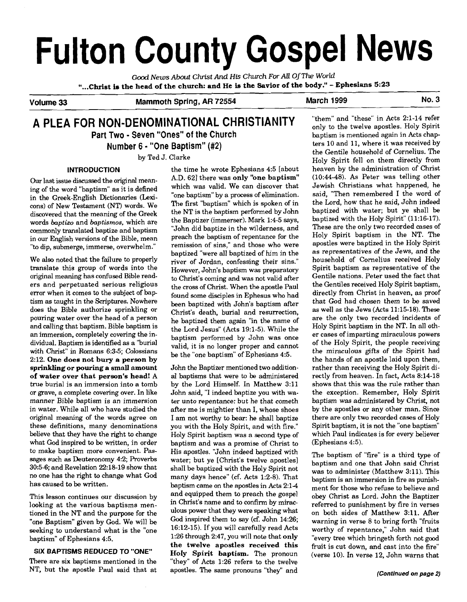# **Fulton County Gospel News**  Good News About Christ And His Church For All Of The World<br>
"...Christ is the head of the church: and He is the Savior of the body." - Ephesians 5:23<br>
Volume 33 Mammoth Spring, AR 72554 March 1999 No. 3<br>
A DI FA FOR NON-DE

*Good* **News** *About* **Christ** *And* **His** *Church For All Of* **The** *World*  "...Christ is the head of the church: and He is the Savior of the body." - Ephesians **5:23** 

# **A PLEA FOR NON-DENOMINATIONAL CHRISTIANITY Part Two** - **Seven "Ones" of the Church**

**Number 6** - **"One Baptism" (#2)** 

by Ted J. Clarke

in the Greek-English Dictionaries (Lexi- "one baptism" by a process of elimination.<br>
cone) of New Testement (NT) words, We The first "baptism" which is spoken of in cons) of New Testament (NT) words. We The first "baptism" which is spoken of in<br>discovered that the meaning of the Greek the NT is the baptism performed by John discovered that the meaning of the Greek the NT is the baptism performed by John<br>words bantize and bantismes which are the Baptizer (immerser). Mark 1:4-5 says, commonly translated baptize and baptism<br>in our English versions of the Bible, mean

We also noted that the failure to properly<br>
river of Jordan, confessing their sins."<br>
However, John's baptism was preparatory original meaning has confused Bible read-<br>ers and perpetuated serious religious<br>the cross of Christ<sub>When</sub> the anostia Paul error when it comes to the subject of bap-<br>found some disciples in Ephesus who had<br>tism as taught in the Scriptures. Nowhere tism as taught in the Scriptures. Nowhere been baptized with John's baptism after does the Bible authorize sprinkling or  $C_{\text{b}}$  desired and non-meation. does the Bible authorize sprinkling or christ's death, burial and resurrection, pouring water over the head of a person he baptized them again "in the name of and calling that baptism. Bible baptism is  $\frac{1}{2}$  the Lord and calling that baptism. Bible baptism is the Lord Jesus" (Acts 19:1-5). While the an immersion, completely covering the inan immersion, completely covering the in-<br>dividual. Baptism is identified as a "burial valid, it is no longer proper and cannot<br>with Christ" in Romans 6:3-5; Colossians with Christ" in Romans 6:3-5; Colossians be the "one baptism" of Ephesians 4:5.<br>2:12. One does not bury a person by<br>sprinkling or pouring a small amount John the Baptizer mentioned two addition sprinkling or pouring a small amount John the Baptizer mentioned two addition-<br>of water over that person's head! A al baptisms that were to be administered of water over that person's head! A al baptisms that were to be administered true burial is an immersion into a tomb by the Lord Himself. In Matthew  $3:11$ true burial is an immersion into a tomb by the Lord Himself. In Matthew 3:11<br>or grave, a complete covering over. In like John said, "I indeed baptize you with waor grave, a complete covering over. In like John said, "I indeed baptize you with wamanner Bible baptism is an immersion ter unto repentance: but he that cometh<br>in water. While all who have studied the after me is mightier than I, whose shoes in water. While all who have studied the after me is mightier than I, whose shoes original meaning of the words agree on  $\overline{a}$  I am not worthy to bear; he shall baptize original meaning of the words agree on I am not worthy to bear: he shall baptize these definitions, many denominations vou with the Holy Spirit, and with fire." these definitions, many denominations you with the Holy Spirit, and with fire."<br>believe that they have the right to change Holy Spirit baptism was a second type of believe that they have the right to change Holy Spirit baptism was a second type of what God inspired to be written, in order baptism and was a promise of Christ to what God inspired to be written, in order baptism and was a promise of Christ to to make baptism more convenient. Pas- His apostles. "John indeed baptized with to make baptism more convenient. Pas-<br>sages such as Deuteronomy 4:2; Proverbs a water: but ye [Christ's twelve apostles] sages such as Deuteronomy 4:2; Proverbs water; but ye [Christ's twelve apostles]<br>30:5-6; and Revelation 22:18-19 show that shall be baptized with the Holy Spirit not  $30:5-6$ ; and Revelation 22:18-19 show that shall be baptized with the Holy Spirit not no one has the right to change what God many days hence" (cf. Acts 1:2-8). That no one has the right **to** change what God many days hence" (cf. Acts 1:2-8). That

looking at the various baptisms men-<br>tioned in the NT and the numbers for the ulous power that they were speaking what tioned in the NT and the purpose for the where **B** aptism" given by God, We will be codd inspired them to say (cf. John 14:26;<br>"one Baptism" given by God, We will be codd inspired them to say (cf. John 14:26; seeking to understand what is the "one baptism" of Ephesians 4:5.

**INTRODUCTION the time he wrote Ephesians 4:5 [about** the discussed the existence **A.D.** 62] there was only "one baptism" Our last issue discussed the original mean. A.D. 621 there was **only "one baptism"**<br>ing of the word "bontigm" og it is defined which was valid. We can discover that ing of the word "baptism" as it is defined which was valid. We can discover that<br>in the Creek English Distinguing (Lovi cone baptism" by a process of elimination. words *baptizo* and *baptismos*, which are the Baptizer (immerser). Mark 1:4-5 says,<br>commonly translated bantize and bantism TJohn did baptize in the wilderness, and preach the baptism of repentance for the "to dip, submerge, immerse, overwhelm." remission of sins," and those who were baptized "were all baptized of him in the the cross of Christ. When the apostle Paul

baptism came on the apostles in Acts 2:1-4 This lesson continues our discussion by and equipped them to preach the gospel<br>looking at the various bantisms men in Christ's name and to confirm by mirac-1:26 through 2:47, you will note that only the twelve apostles received this **SIX BAPTISMS REDUCED TO "ONE"** Holy Spirit baptism. The pronoun There are six baptisms mentioned in the "they" of Acts 1:26 refers to the twelve There are six baptisms mentioned in the "they" of Acts 1:26 refers to the twelve NT, but the apostle Paul said that at apostles. The same pronouns "they" and apostles. The same pronouns "they" and

"them" and "these" in Acts 2:l-14 refer only to the twelve apostles. Holy Spirit baptism is mentioned again in Acts chapters 10 and 11, where it was received by the Gentile household of Cornelius. The Holy Spirit fell on them directly from heaven by the administration of Christ (10:44-48). **As** Peter was telling other Jewish Christians what happened, he said, "Then remembered I the word of the Lord, how that he said, John indeed baptized with water; but ye shall be baptized with the Holy Spirit" (11:16-17). These are the only two recorded cases of Holy Spirit baptism in the NT. The apostles were baptized in the Holy Spirit as representatives of the Jews, and the household of Cornelius received Holy Spirit baptism as representative of the Gentile nations. Peter used the fact that the Gentiles received Holy Spirit baptism, directly from Christ in heaven, as proof that God had chosen them to be saved as well as the Jews (Acts 11:15-18). These are the only two recorded incidents of Holy Spirit baptism in the NT. In all other cases of imparting miraculous powers of the Holy Spirit, the people receiving the miraculous gifts of the Spirit had the hands of an apostle laid upon them, rather than receiving the Holy Spirit directly from heaven. In fact, Acts 8:14-18 shows that this was the rule rather than the exception. Remember, Holy Spirit baptism was administered by Christ, not by the apostles or any other man. Since there are only two recorded cases of Holy Spirit baptism, it is not the "one baptism" which Paul indicates is for every believer (Ephesians 4:5).

The baptism of "fire" is a third type of baptism and one that John said Christ was to administer (Matthew 3:11). This baptism is an immersion in fire as punishment for those who refuse to believe and obey Christ as Lord. John the Baptizer referred to punishment by fire in verses on both sides of Matthew 3:ll. After warning in verse 8 to bring forth "fruits worthy of repentance," John said that "every tree which bringeth forth not good fruit is cut down, and cast into the fire" (verse 10). In verse 12, John warns that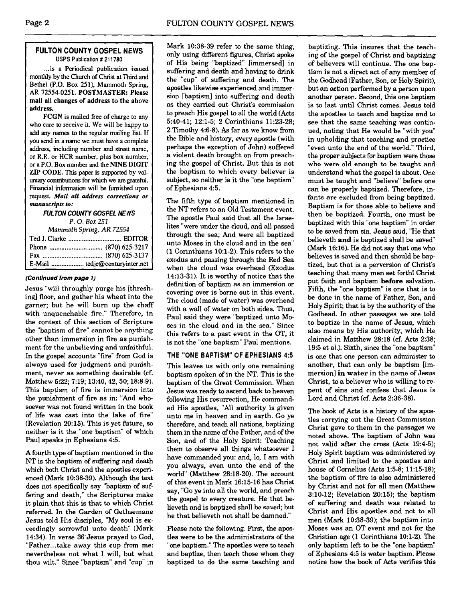## **FULTON COUNTY GOSPEL NEWS USPS Publication** # **21 1780**

... is a Periodical publication issued monthly by the Church of Christ at Third and Bethel **(P.O.** Box 251). Mammoth Spring. AR 72554-0251. POSTMASTER: Please mail all changes of address to the above address.

FCGN is mailed free of charge to any who care to receive it. We will be happy to add any names to the regular mailing list If you send in a name we must have a complete address, including number and street name. or R.R. or HCR number, plus box number, or a P.O. Box number and the NINE DIGIT ZIP CODE. This paper is supported by voluntary contributions for which we are grateful. Financial information will be furnished upon request. *Mail all* **address corrections or manuscripts to:** 

**FULTON COUNTY GOSPEL NEWS** 

**P.** 0. *Box 251* 

| Mammoth Spring, AR 72554 |  |  |
|--------------------------|--|--|
|                          |  |  |
|                          |  |  |
|                          |  |  |
|                          |  |  |

## **(Continued from page 1)**

Jesus "will throughly purge his [threshing] floor, and gather his wheat into the garner; but he will burn up the chaff with unquenchable fire." Therefore, in the context of this section of Scripture the "baptism of fire" cannot be anything other than immersion in fire as punishment for the unbelieving and unfaithful. In the gospel accounts "fire" from God is **THE "ONE BAPTISM" OF EPHESIANS 4:5**  always used for judgment and punish-<br>ment, never as something desirable (cf. bantism spoken of in the NT This is the ment, never as something desirable (cf. baptism spoken of in the NT. This is the Matthew 5:22; 7:19; 13:40, 42, 50; 18:8-9). hantism of the Great Commission. When Matthew 5:22; 7:19; 13:40, 42, 50; 18:8-9). baptism of the Great Commission. When This baptism of fire is immersion into  $\sum_{\text{I} \text{esys was ready to agent back to hearen}}$ This baptism of fire is immersion into Jesus was ready to ascend back to heaven<br>the punishment of fire as in: "And who- following His resurrection. He commandthe punishment of fire as in: "And who- following His resurrection. He commandsoever was not found written in the book of life was cast into the lake of fire" (Revelation 20:15). This is yet future, so neither is it the "one baptism" of which Paul speaks in Ephesians 4:5.

A fourth **type** of baptism mentioned in the NT is the baptism of suffering and death which both Christ and the apostles experienced (Mark 10:38-39). Although the text does not specifically say "baptism of suffering and death," the Scriptures make it plain that this is that to which Christ referred. In the Garden of Gethsemane Jesus told His disciples. "My soul is ex- Jesus told His disciples, "My soul is ex-<br>ceedingly sorrowful unto death" (Mark Please note the following. First, the apos- Moses was an OT event and not for the 14:34). In verse 36- Jesus prayed to God, tles were to be the administrators of the Christian age (1 Corinthians 10:l-2). The "Father...take away this cup from me: "one baptism." The apostles were to teach only baptism left to be the "one baptism" nevertheless not what I will, but what and baptize, then teach those whom they of Ephesians 4:5 is water baptism. Please<br>thou wilt." Since "baptism" and "cup" in baptized to do the same teaching and notice how the book of thou wilt." Since "baptism" and "cup" in baptized to do the same teaching and

Mark 10:38-39 refer to the same thing, only using different figures, Christ spoke of His being "baptized" [immersed] in suffering and death and having to drink the "cup" of suffering and death. The apostles likewise experienced and immersion baptism] into suffering and death as they camed out Christ's commission to preach His gospel to all the world (Acts 5:40-41; 12:l-5; 2 Corinthians 11:23-28; 2 Timothy 4:6-8). **As** far as we know from the Bible and history, every apostle (with perhaps the exception of John) suffered a violent death brought on from preaching the gospel of Christ. But this is not the baptism to which every believer is subject, so neither is it the "one baptism" of Ephesians 4:5.

The fifth type of baptism mentioned in the NT refers to an Old Testament event. The apostle Paul said that all the Israelites "were under the cloud, and all passed through the sea; And were all baptized unto Moses in the cloud and in the sea" (1 Corinthians 10:l-2). This refers to the exodus and passing through the Red Sea when the cloud was overhead (Exodus 14:13-31). It is worthy of notice that the definition of baptism **as** an immersion or covering over is borne out in this event. The cloud (made of water) was overhead with a wall of water on both sides. Thus, Paul said they were "baptized unto Moses in the cloud and in the sea." Since this refers to a past event in the OT, it is not the "one baptism" Paul mentions.

ed His apostles, "All authority is given unto me in heaven and in earth. Go ye therefore, and teach all nations, baptizing them in the name of the Father, and of the Son, and of the Holy Spirit: Teaching them to observe all things whatsoever I have commanded you: and, lo, I am with you always, even unto the end of the world" (Matthew 28:18-20). The account of this event in Mark 16:15-16 has Christ say, "Go ye into all the world, and preach the gospel to every creature. He that **be**lieveth and is baptized shall be saved; but he that believeth not shall be damned."

baptizing. This insures that the teaching of the gospel of Christ and baptizing of believers will continue. The one baptism is not a direct act of any member of the Godhead (Father, Son, or Holy Spirit), but an action performed by a person upon another person. Second, this one baptism is to last until Christ comes. Jesus told the apostles to teach and baptize and **to**  see that the same teaching was continued, noting that He would be "with you" in upholding that teaching and practice "even unto the end of the world." Third, the proper subjects for baptism were those who were old enough to be taught and understand what the gospel is about. One must be taught and "believe" before one can be properly baptized. Therefore, infants are excluded from being baptized. Baptism is for those able to believe and then be baptized. Fourth, one must be baptized with this "one baptism" in order to be saved from sin. Jesus said, "He that believeth **and** is baptized shall be saved (Mark 16:16). He did not say that one who believes is saved and then should be baptized, but that is a perversion of Christ's teaching that many men set forth! Christ put faith and baptism **before** salvation. Fifth, the "one baptism" is one that is to be done in the name of Father, Son, and Holy Spirit; that is by the authority of the Godhead. In other passages we are told to baptize in the name of Jesus, which also means by His authority, which He claimed in Matthew 2838 **(cf.** Acts 2:38; 19:5 et al.). Sixth, since the "one baptism" is one that one person can administer to another, that can only be baptism [immersion] **in water** in the name of Jesus Christ, to a believer who is willing torepent of sins and confess that Jesus is Lord and Christ (cf. Acts 2:36-38).

The book of Acts is a history of the apostles carrying out the Great Commission Christ gave to them in the passages we noted above. The baptism of John was not valid after the cross (Acts 19:4-5); Holy Spirit baptism was administered by Christ and limited to the apostles and house of Cornelius (Acts 1:5-8; 11:15-18); the baptism of fire is also administered by Christ and not for all men (Matthew 3:lO-12; Revelation 20:15); the baptism of suffering and death was related to Christ and His apostles and not to all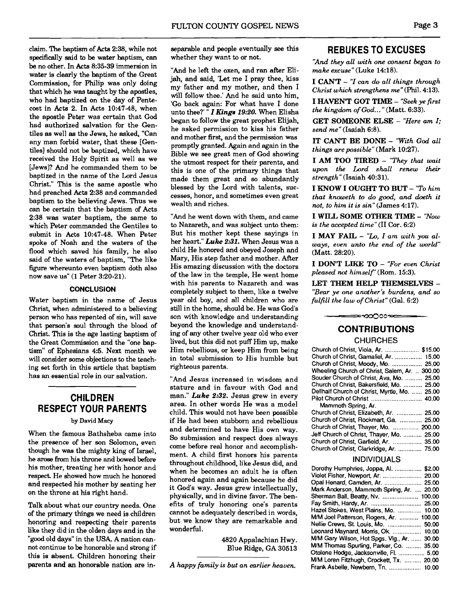claim. The baptism of **Acts** 238, while not specifically said to be water baptism, **can**  be no other. In **Acts** 8:35-39 immersion in water is clearly the baptism of the Great Commission, for Philip was only doing that which he was taught by the apostles, who had baptized on the day of Pentecost in **Acts** 2. In Acts 10:47-48, when the apostle Peter was certain that **God**  had authorized salvation for the Gentiles as well **as** the Jews, he asked, "Can any man forbid water, that these [Gentiles] should not be baptized, which have received the Holy Spirit as well as we [Jews]? And he commanded them to be baptized in the name of the Lord Jesus Christ." This is the same apostle who had preached **Acts** 2:38 and commanded baptism to the believing Jews. Thus we can be certain that the baptism of Acts 2:38 was water baptism, the same to which Peter commanded the Gentiles to submit in Acts 10:47-48. When Peter spoke of Noah and the waters of the flood which saved his family, he also said of the waters of baptism, "The like figure whereunto even baptism doth also now save us" (1 Peter 3:20-21).

### **CONCLUSION**

Water baptism in the name of Jesus Christ, when administered to a believing person who has repented of sin, will save that person's soul through the blood of Christ. This is the age lasting baptism of the Great Commission and the "one baptism" of Ephesians 4:5. Next month we will consider some objections to the teaching set forth in this article that baptism has an essential role in our salvation.

# **CHILDREN RESPECT YOUR PARENTS**

## by David Macy

When the famous Bathsheba came into the presence of her son Solomon, even though he **was** the mighty king of Israel, he **arose** from his throne and bowed before his mother, treating her with honor and respect He showed how much he honored and respected his mother by seating her on the throne at his right hand.

of the primary things we need is children<br>honoring and respecting their parents like they did in the olden days and in the "good old days" in the USA. A nation can- 4820 Appalachian Hwy. WM **Gary** Wilson, Hot SWS. Vlg., Ar. ...... **30.00**  ......... not continue to be honorable and strong if ~l~~ ~~d~~, GA 30513 MIM Thomas Spurling, Parker, Co. **35.00**  this is absent. Children honoring their<br>parents and an honorable nation are in-

separable and people eventually **see** this whether they want to or not.

"And he left the oxen. and ran after Elijah, and said, 'Let me I pray thee, kiss my father and my mother, and then I will follow thee.' And he said unto him, 'Go back again: For what have I done unto thee?' " *I* Kings **19:20.** When Elisha began to follow the great prophet Elijah, he asked permission to kiss his father and mother first, and the permission was promptly granted. Again and again in the Bible we see great men of God showing the utmost respect for their parents, and this is one of the primary things that made them great and so abundantly blessed by the Lord with talents, successes, honor, and sometimes even great wealth and riches.

"And he went down with them, and came to Nazareth, and was subject unto them: But his mother kept these sayings in her heart." *Luke* **2:31.** When Jesus was a child He honored and obeyed Joseph and Mary, His step father and mother. After His amazing discussion with the doctors of the law in the temple, He went home with his parents to Nazareth and was completely subject to them, like a twelve year old boy, and all children who are still in the home. should be. He was God's son with knowledge and understanding beyond the knowledge and understanding of any other twelve year old who ever lived, but this did not puff Him up, make Him rebellious, or keep Him from being in total submission to His humble but righteous parents.

"And Jesus increased in wisdom and stature and in favour with God and man." *Luke* **2:32.** Jesus grew in every area. In other words He was a model child. This would not have been possible if He had been stubborn and rebellious and determined to have His own way. So submission and respect does always come before real honor and accomplishment. A child first honors his parents throughout childhood, like Jesus did, and when he becomes an adult he is often honored again and again because he did it God's way. Jesus grew intellectually, physically, and in divine favor. The ben-Talk about what our country needs. One effits of truly honoring one's parents of the primary things we need is children cannot be adequately described in words. but we know they are remarkable and wonderful.

A *happy family is but an earlier heaven.* 

## **REBUKES TO EXCUSES**

*"And they all with one consent began to make excuse"* (Luke 14:18).

**I CAN'T** - "Z *can do a11 things through Christ which strengthens me"* (Phil. 4:13).

**I HAVEN'T GOT TIME** - *"Seek ye first the kingdom of God* ... " (Matt. 6:33).

**GET SOMEONE ELSE** - *"Here am I; send me"* (Isaiah 6:8).

**IT CAN'T BE DONE** - *"With* **God** *all things are possible"* (Mark 10:27).

**I AM TOO TIRED** - *"They that wait upon the Lord shall renew their strength"* (Isaiah 40:31).

**I KNOW I OUGHT TO BUT** - *"To him that knoweth to do good, and doeth it not, to him it is* sin"(James 4:17).

**I WILL SOME OTHER TIME** - *"Now is the accepted time"* (I1 Cor. 6:2)

**I MAY FAIL** - *"Lo, I am with you always, even unto the end of the world"*  (Matt. 28:20).

**I DON'T LIKE TO** - *"For even Christ pleased not himself'* (Rom. 15:3).

**LET THEM HELP THEMSELVES** - *"Bear ye one another's burdens, and so fulfill the law of Christ"* (Gal. 6:2)

≃∞ಯ೦೦೦≫≃

# **CONTRIBUTIONS CHURCHES**

| Church of Christ, Viola, Ar.  \$15.00         |  |
|-----------------------------------------------|--|
| Church of Christ, Gamaliel, Ar.  15.00        |  |
| Church of Christ, Moody, Mo.  25.00           |  |
| Wheeling Church of Christ, Salem, Ar.  300.00 |  |
| Souder Church of Christ, Ava, Mo.  25.00      |  |
| Church of Christ, Bakersfield, Mo.  25.00     |  |
| Dellhalf Church of Christ, Myrtle, Mo.  25.00 |  |
|                                               |  |
| Mammoth Spring, Ar.                           |  |
| Church of Christ, Elizabeth, Ar.  25.00       |  |
| Church of Christ, Rockmart, Ga.  25.00        |  |
| Church of Christ, Thayer, Mo.  200.00         |  |
| Jeff Church of Christ. Thaver, Mo.  25.00     |  |
| Church of Christ, Garfield, Ar.  35.00        |  |
| Church of Christ, Clarkridge, Ar.  75.00      |  |
|                                               |  |

### INDIVIDUALS

| Dorothy Humphries, Joppa, Al.             | \$2.00 |
|-------------------------------------------|--------|
| Violet Fisher, Newport, Ar.  20.00        |        |
| Opal Henard, Camden, Ar.  25.00           |        |
| Mark Anderson, Mammoth Spring, Ar.  20.00 |        |
| Sherman Ball, Beatty, Nv.  100.00         |        |
|                                           |        |
| Hazel Stokes, West Plains, Mo.  10.00     |        |
| M/M Joel Patterson, Rogers, Ar.           | 100.00 |
| Nellie Crews, St. Louis, Mo.              | 50.00  |
| Leonard Maynard, Morris, Ok.              | 10.00  |
| M/M Gary Wilson, Hot Spgs. Vlg., Ar.      | 30.00  |
| M/M Thomas Spurling, Parker, Co.          | 35.00  |
| Otolene Hodge, Jacksonville, Fl.  5.00    |        |
| M/M Loren Fitzhugh, Crockett, Tx.  20.00  |        |
| Frank Asbelle, Newbern, Tn. 600, 10,000   |        |